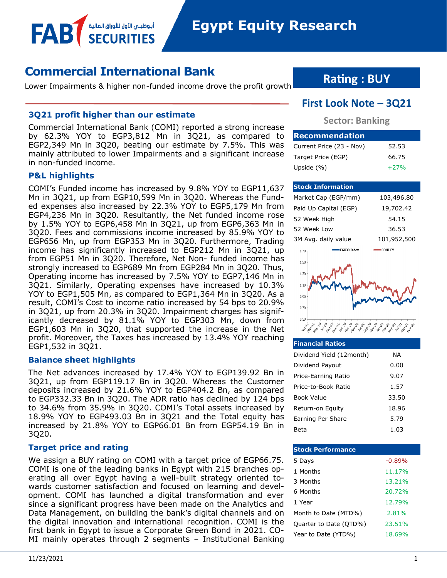**Egypt Equity Research** 

## **Commercial International Bank**

أبوظبــم الأول للأوراق المالية

Lower Impairments & higher non-funded income drove the profit growth

#### **3Q21 profit higher than our estimate**

Commercial International Bank (COMI) reported a strong increase by 62.3% YOY to EGP3,812 Mn in 3Q21, as compared to EGP2,349 Mn in 3Q20, beating our estimate by 7.5%. This was mainly attributed to lower Impairments and a significant increase in non-funded income.

#### **P&L highlights**

FAB

COMI's Funded income has increased by 9.8% YOY to EGP11,637 Mn in 3Q21, up from EGP10,599 Mn in 3Q20. Whereas the Funded expenses also increased by 22.3% YOY to EGP5,179 Mn from EGP4,236 Mn in 3Q20. Resultantly, the Net funded income rose by 1.5% YOY to EGP6,458 Mn in 3Q21, up from EGP6,363 Mn in 3Q20. Fees and commissions income increased by 85.9% YOY to EGP656 Mn, up from EGP353 Mn in 3Q20. Furthermore, Trading income has significantly increased to EGP212 Mn in 3Q21, up from EGP51 Mn in 3Q20. Therefore, Net Non- funded income has strongly increased to EGP689 Mn from EGP284 Mn in 3Q20. Thus, Operating income has increased by 7.5% YOY to EGP7,146 Mn in 3Q21. Similarly, Operating expenses have increased by 10.3% YOY to EGP1,505 Mn, as compared to EGP1,364 Mn in 3Q20. As a result, COMI's Cost to income ratio increased by 54 bps to 20.9% in 3Q21, up from 20.3% in 3Q20. Impairment charges has significantly decreased by 81.1% YOY to EGP303 Mn, down from EGP1,603 Mn in 3Q20, that supported the increase in the Net profit. Moreover, the Taxes has increased by 13.4% YOY reaching EGP1,532 in 3Q21.

#### **Balance sheet highlights**

The Net advances increased by 17.4% YOY to EGP139.92 Bn in 3Q21, up from EGP119.17 Bn in 3Q20. Whereas the Customer deposits increased by 21.6% YOY to EGP404.2 Bn, as compared to EGP332.33 Bn in 3Q20. The ADR ratio has declined by 124 bps to 34.6% from 35.9% in 3Q20. COMI's Total assets increased by 18.9% YOY to EGP493.03 Bn in 3Q21 and the Total equity has increased by 21.8% YOY to EGP66.01 Bn from EGP54.19 Bn in 3Q20.

#### **Target price and rating**

We assign a BUY rating on COMI with a target price of EGP66.75. COMI is one of the leading banks in Egypt with 215 branches operating all over Egypt having a well-built strategy oriented towards customer satisfaction and focused on learning and development. COMI has launched a digital transformation and ever since a significant progress have been made on the Analytics and Data Management, on building the bank's digital channels and on the digital innovation and international recognition. COMI is the first bank in Egypt to issue a Corporate Green Bond in 2021. CO-MI mainly operates through 2 segments – Institutional Banking

## **Rating : BUY**

## **First Look Note – 3Q21**

#### **Sector: Banking**

| <b>Recommendation</b>    |        |
|--------------------------|--------|
| Current Price (23 - Nov) | 52.53  |
| Target Price (EGP)       | 66.75  |
| Upside $(\% )$           | $+27%$ |

#### **Stock Information**

| Market Cap (EGP/mm)        | 103,496.80     |
|----------------------------|----------------|
| Paid Up Capital (EGP)      | 19,702.42      |
| 52 Week High               | 54.15          |
| 52 Week Low                | 36.53          |
| 3M Avg. daily value        | 101,952,500    |
| <b>EGX30 Index</b><br>1.70 | <b>COMI EY</b> |
| 1.50                       |                |
| 1.30                       |                |
| 1.10                       |                |
| 0.90                       |                |
|                            |                |
| 0.70                       |                |
| 0.50                       |                |
|                            |                |

## **Financial Ratios**

| Dividend Yield (12month) | ΝA    |
|--------------------------|-------|
| Dividend Payout          | 0.00  |
| Price-Earning Ratio      | 9.07  |
| Price-to-Book Ratio      | 1.57  |
| Book Value               | 33.50 |
| Return-on Equity         | 18.96 |
| Earning Per Share        | 5.79  |
| Beta                     | 1.03  |

| <b>Stock Performance</b> |          |
|--------------------------|----------|
| 5 Days                   | $-0.89%$ |
| 1 Months                 | 11.17%   |
| 3 Months                 | 13.21%   |
| 6 Months                 | 20.72%   |
| 1 Year                   | 12.79%   |
| Month to Date (MTD%)     | 2.81%    |
| Quarter to Date (QTD%)   | 23.51%   |
| Year to Date (YTD%)      | 18.69%   |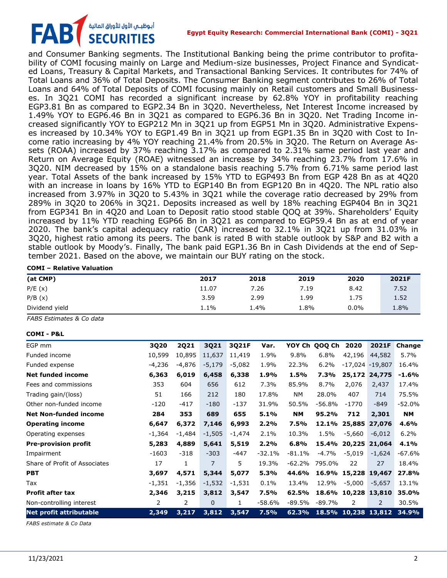## أبوظبـي الأول للأوراق المالية<br>SECURITIES **FAB**

and Consumer Banking segments. The Institutional Banking being the prime contributor to profitability of COMI focusing mainly on Large and Medium-size businesses, Project Finance and Syndicated Loans, Treasury & Capital Markets, and Transactional Banking Services. It contributes for 74% of Total Loans and 36% of Total Deposits. The Consumer Banking segment contributes to 26% of Total Loans and 64% of Total Deposits of COMI focusing mainly on Retail customers and Small Businesses. In 3Q21 COMI has recorded a significant increase by 62.8% YOY in profitability reaching EGP3.81 Bn as compared to EGP2.34 Bn in 3Q20. Nevertheless, Net Interest Income increased by 1.49% YOY to EGP6.46 Bn in 3Q21 as compared to EGP6.36 Bn in 3Q20. Net Trading Income increased significantly YOY to EGP212 Mn in 3Q21 up from EGP51 Mn in 3Q20. Administrative Expenses increased by 10.34% YOY to EGP1.49 Bn in 3Q21 up from EGP1.35 Bn in 3Q20 with Cost to Income ratio increasing by 4% YOY reaching 21.4% from 20.5% in 3Q20. The Return on Average Assets (ROAA) increased by 37% reaching 3.17% as compared to 2.31% same period last year and Return on Average Equity (ROAE) witnessed an increase by 34% reaching 23.7% from 17.6% in 3Q20. NIM decreased by 15% on a standalone basis reaching 5.7% from 6.71% same period last year. Total Assets of the bank increased by 15% YTD to EGP493 Bn from EGP 428 Bn as at 4Q20 with an increase in loans by 16% YTD to EGP140 Bn from EGP120 Bn in 4Q20. The NPL ratio also increased from 3.97% in 3Q20 to 5.43% in 3Q21 while the coverage ratio decreased by 29% from 289% in 3Q20 to 206% in 3Q21. Deposits increased as well by 18% reaching EGP404 Bn in 3Q21 from EGP341 Bn in 4Q20 and Loan to Deposit ratio stood stable QOQ at 39%. Shareholders' Equity increased by 11% YTD reaching EGP66 Bn in 3Q21 as compared to EGP59.4 Bn as at end of year 2020. The bank's capital adequacy ratio (CAR) increased to 32.1% in 3Q21 up from 31.03% in 3Q20, highest ratio among its peers. The bank is rated B with stable outlook by S&P and B2 with a stable outlook by Moody's. Finally, The bank paid EGP1.36 Bn in Cash Dividends at the end of September 2021. Based on the above, we maintain our BUY rating on the stock.

#### **COMI – Relative Valuation**

| (at CMP)       | 2017  | 2018    | 2019 | 2020    | 2021F |
|----------------|-------|---------|------|---------|-------|
| P/E(x)         | 11.07 | 7.26    | 7.19 | 8.42    | 7.52  |
| P/B(x)         | 3.59  | 2.99    | 1.99 | 1.75    | 1.52  |
| Dividend yield | 1.1%  | $1.4\%$ | 8%،  | $0.0\%$ | 1.8%  |

*FABS Estimates & Co data*

#### **COMI - P&L**

| 3Q20                  | <b>2Q21</b> | 3Q21         | 3Q21F    | Var.     | YOY Ch    |          | 2020     | 2021F           | Change                                                                                                                      |
|-----------------------|-------------|--------------|----------|----------|-----------|----------|----------|-----------------|-----------------------------------------------------------------------------------------------------------------------------|
| 10,599                | 10,895      | 11,637       | 11,419   | 1.9%     | 9.8%      | 6.8%     | 42,196   | 44,582          | 5.7%                                                                                                                        |
| $-4,236$              | $-4,876$    | $-5,179$     | $-5,082$ | 1.9%     | 22.3%     | 6.2%     |          |                 | 16.4%                                                                                                                       |
| 6,363                 | 6,019       | 6,458        | 6,338    | 1.9%     | 1.5%      | 7.3%     |          | 24,775          | $-1.6%$                                                                                                                     |
| 353                   | 604         | 656          | 612      | 7.3%     | 85.9%     | 8.7%     | 2,076    | 2,437           | 17.4%                                                                                                                       |
| 51                    | 166         | 212          | 180      | 17.8%    | NΜ        | 28.0%    | 407      | 714             | 75.5%                                                                                                                       |
| $-120$                | $-417$      | $-180$       | $-137$   | 31.9%    | 50.5%     | $-56.8%$ | $-1770$  | -849            | $-52.0%$                                                                                                                    |
| 284                   | 353         | 689          | 655      | 5.1%     | <b>NM</b> | 95.2%    | 712      | 2,301           | <b>NM</b>                                                                                                                   |
| 6,647                 | 6,372       | 7,146        | 6,993    | 2.2%     | 7.5%      |          |          | 27,076          | 4.6%                                                                                                                        |
| $-1,364$              | $-1,484$    | $-1,505$     | $-1,474$ | 2.1%     | 10.3%     | 1.5%     | $-5,660$ | $-6,012$        | 6.2%                                                                                                                        |
| 5,283                 | 4,889       | 5,641        | 5,519    | 2.2%     | 6.8%      |          |          |                 | 4.1%                                                                                                                        |
| $-1603$               | $-318$      | $-303$       | -447     | $-32.1%$ | $-81.1%$  | -4.7%    | $-5,019$ | $-1,624$        | $-67.6%$                                                                                                                    |
| 17                    | 1           | 7            | 5        | 19.3%    | $-62.2%$  | 795.0%   | 22       | 27              | 18.4%                                                                                                                       |
| 3,697                 | 4,571       | 5,344        | 5,077    | 5.3%     | 44.6%     | 16.9%    |          |                 | 27.8%                                                                                                                       |
| $-1,351$              | -1,356      | $-1,532$     | -1,531   | 0.1%     | 13.4%     | 12.9%    | $-5,000$ | $-5,657$        | 13.1%                                                                                                                       |
| 2,346                 | 3,215       | 3,812        | 3,547    | 7.5%     | 62.5%     |          |          |                 | 35.0%                                                                                                                       |
| $\mathbf{2}^{\prime}$ | 2           | $\mathbf{0}$ | 1        | $-58.6%$ | -89.5%    | $-89.7%$ | 2        | 2               | 30.5%                                                                                                                       |
| 2,349                 | 3,217       | 3,812        | 3,547    | 7.5%     | 62.3%     |          |          |                 | 34.9%                                                                                                                       |
|                       |             |              |          |          |           |          |          | QOQ Ch<br>15.4% | $-17,024 -19,807$<br>25,172<br>12.1% 25,885<br>20,225 21,064<br>15,228 19,467<br>18.6% 10,228 13,810<br>18.5% 10,238 13,812 |

*FABS estimate & Co Data*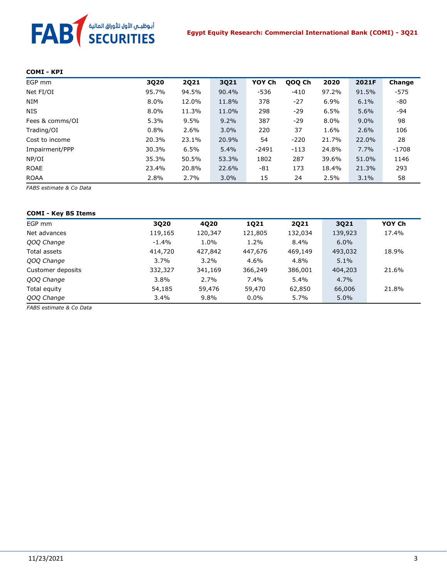# FAB<sup>T</sup> SECURITIES

#### **COMI - KPI**

| EGP mm          | 3Q20  | <b>2Q21</b> | 3Q21  | YOY Ch  | QOQ Ch | 2020    | 2021F   | Change  |
|-----------------|-------|-------------|-------|---------|--------|---------|---------|---------|
| Net FI/OI       | 95.7% | 94.5%       | 90.4% | $-536$  | $-410$ | 97.2%   | 91.5%   | $-575$  |
| <b>NIM</b>      | 8.0%  | 12.0%       | 11.8% | 378     | $-27$  | 6.9%    | 6.1%    | -80     |
| <b>NIS</b>      | 8.0%  | 11.3%       | 11.0% | 298     | $-29$  | 6.5%    | 5.6%    | $-94$   |
| Fees & comms/OI | 5.3%  | 9.5%        | 9.2%  | 387     | $-29$  | $8.0\%$ | $9.0\%$ | 98      |
| Trading/OI      | 0.8%  | 2.6%        | 3.0%  | 220     | 37     | 1.6%    | 2.6%    | 106     |
| Cost to income  | 20.3% | 23.1%       | 20.9% | 54      | $-220$ | 21.7%   | 22.0%   | 28      |
| Impairment/PPP  | 30.3% | 6.5%        | 5.4%  | $-2491$ | $-113$ | 24.8%   | 7.7%    | $-1708$ |
| NP/OI           | 35.3% | 50.5%       | 53.3% | 1802    | 287    | 39.6%   | 51.0%   | 1146    |
| <b>ROAE</b>     | 23.4% | 20.8%       | 22.6% | -81     | 173    | 18.4%   | 21.3%   | 293     |
| <b>ROAA</b>     | 2.8%  | 2.7%        | 3.0%  | 15      | 24     | 2.5%    | 3.1%    | 58      |

*FABS estimate & Co Data*

#### **COMI - Key BS Items**

| EGP mm            | 3020    | 4020    | <b>1Q21</b> | <b>2Q21</b> | 3021    | YOY Ch |
|-------------------|---------|---------|-------------|-------------|---------|--------|
| Net advances      | 119,165 | 120,347 | 121,805     | 132,034     | 139,923 | 17.4%  |
| QOQ Change        | $-1.4%$ | 1.0%    | 1.2%        | 8.4%        | $6.0\%$ |        |
| Total assets      | 414,720 | 427,842 | 447,676     | 469,149     | 493,032 | 18.9%  |
| QOQ Change        | 3.7%    | $3.2\%$ | 4.6%        | 4.8%        | 5.1%    |        |
| Customer deposits | 332,327 | 341,169 | 366,249     | 386,001     | 404,203 | 21.6%  |
| QOQ Change        | $3.8\%$ | 2.7%    | 7.4%        | 5.4%        | 4.7%    |        |
| Total equity      | 54,185  | 59,476  | 59,470      | 62,850      | 66,006  | 21.8%  |
| QOQ Change        | 3.4%    | 9.8%    | $0.0\%$     | 5.7%        | 5.0%    |        |
|                   |         |         |             |             |         |        |

*FABS estimate & Co Data*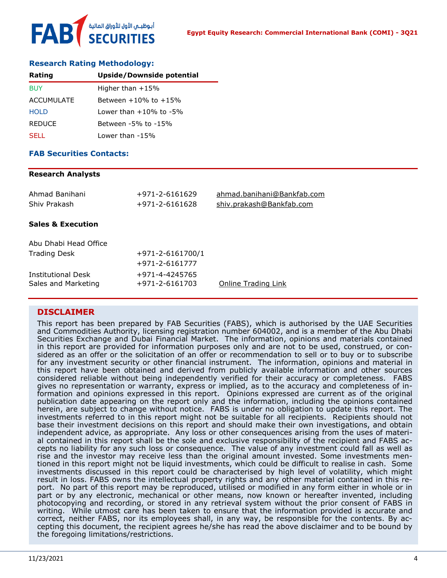#### **Research Rating Methodology:**

| Rating        | Upside/Downside potential    |
|---------------|------------------------------|
| <b>BUY</b>    | Higher than $+15%$           |
| ACCUMULATE    | Between $+10\%$ to $+15\%$   |
| <b>HOLD</b>   | Lower than $+10\%$ to $-5\%$ |
| <b>REDUCE</b> | Between -5% to -15%          |
| SELL.         | Lower than -15%              |

#### **FAB Securities Contacts:**

#### **Research Analysts**

| Ahmad Banihani<br>Shiv Prakash                   | +971-2-6161629<br>$+971 - 2 - 6161628$ | ahmad.banihani@Bankfab.com<br>shiv.prakash@Bankfab.com |
|--------------------------------------------------|----------------------------------------|--------------------------------------------------------|
| <b>Sales &amp; Execution</b>                     |                                        |                                                        |
| Abu Dhabi Head Office                            |                                        |                                                        |
| <b>Trading Desk</b>                              | $+971 - 2 - 6161700/1$                 |                                                        |
|                                                  | $+971 - 2 - 6161777$                   |                                                        |
| <b>Institutional Desk</b><br>Sales and Marketing | +971-4-4245765<br>+971-2-6161703       | <b>Online Trading Link</b>                             |

#### **DISCLAIMER**

This report has been prepared by FAB Securities (FABS), which is authorised by the UAE Securities and Commodities Authority, licensing registration number 604002, and is a member of the Abu Dhabi Securities Exchange and Dubai Financial Market. The information, opinions and materials contained in this report are provided for information purposes only and are not to be used, construed, or considered as an offer or the solicitation of an offer or recommendation to sell or to buy or to subscribe for any investment security or other financial instrument. The information, opinions and material in this report have been obtained and derived from publicly available information and other sources considered reliable without being independently verified for their accuracy or completeness. FABS gives no representation or warranty, express or implied, as to the accuracy and completeness of information and opinions expressed in this report. Opinions expressed are current as of the original publication date appearing on the report only and the information, including the opinions contained herein, are subject to change without notice. FABS is under no obligation to update this report. The investments referred to in this report might not be suitable for all recipients. Recipients should not base their investment decisions on this report and should make their own investigations, and obtain independent advice, as appropriate. Any loss or other consequences arising from the uses of material contained in this report shall be the sole and exclusive responsibility of the recipient and FABS accepts no liability for any such loss or consequence. The value of any investment could fall as well as rise and the investor may receive less than the original amount invested. Some investments mentioned in this report might not be liquid investments, which could be difficult to realise in cash. Some investments discussed in this report could be characterised by high level of volatility, which might result in loss. FABS owns the intellectual property rights and any other material contained in this report. No part of this report may be reproduced, utilised or modified in any form either in whole or in part or by any electronic, mechanical or other means, now known or hereafter invented, including photocopying and recording, or stored in any retrieval system without the prior consent of FABS in writing. While utmost care has been taken to ensure that the information provided is accurate and correct, neither FABS, nor its employees shall, in any way, be responsible for the contents. By accepting this document, the recipient agrees he/she has read the above disclaimer and to be bound by the foregoing limitations/restrictions.